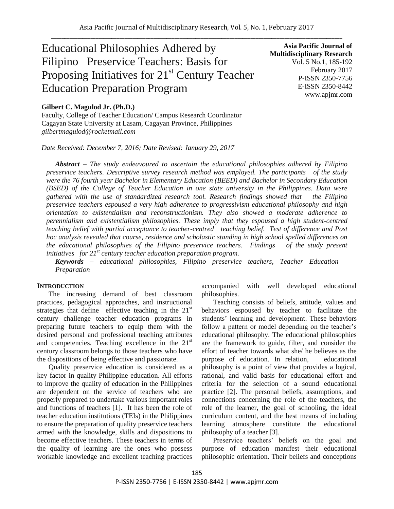# Educational Philosophies Adhered by Filipino Preservice Teachers: Basis for Proposing Initiatives for 21<sup>st</sup> Century Teacher Education Preparation Program

**Asia Pacific Journal of Multidisciplinary Research** Vol. 5 No.1, 185-192 February 2017 P-ISSN 2350-7756 E-ISSN 2350-8442 www.apjmr.com

#### **Gilbert C. Magulod Jr. (Ph.D.)**

Faculty, College of Teacher Education/ Campus Research Coordinator Cagayan State University at Lasam, Cagayan Province, Philippines *gilbertmagulod@rocketmail.com*

*Date Received: December 7, 2016; Date Revised: January 29, 2017*

*Abstract – The study endeavoured to ascertain the educational philosophies adhered by Filipino preservice teachers. Descriptive survey research method was employed. The participants of the study were the 76 fourth year Bachelor in Elementary Education (BEED) and Bachelor in Secondary Education (BSED) of the College of Teacher Education in one state university in the Philippines. Data were gathered with the use of standardized research tool. Research findings showed that the Filipino preservice teachers espoused a very high adherence to progressivism educational philosophy and high orientation to existentialism and reconstructionism. They also showed a moderate adherence to perennialism and existentialism philosophies. These imply that they espoused a high student-centred teaching belief with partial acceptance to teacher-centred teaching belief. Test of difference and Post hoc analysis revealed that course, residence and scholastic standing in high school spelled differences on the educational philosophies of the Filipino preservice teachers. Findings of the study present initiatives for 21st century teacher education preparation program.* 

*Keywords – educational philosophies, Filipino preservice teachers, Teacher Education Preparation* 

#### **INTRODUCTION**

The increasing demand of best classroom practices, pedagogical approaches, and instructional strategies that define effective teaching in the  $21<sup>st</sup>$ century challenge teacher education programs in preparing future teachers to equip them with the desired personal and professional teaching attributes and competencies. Teaching excellence in the 21<sup>st</sup> century classroom belongs to those teachers who have the dispositions of being effective and passionate.

Quality preservice education is considered as a key factor in quality Philippine education. All efforts to improve the quality of education in the Philippines are dependent on the service of teachers who are properly prepared to undertake various important roles and functions of teachers [1]. It has been the role of teacher education institutions (TEIs) in the Philippines to ensure the preparation of quality preservice teachers armed with the knowledge, skills and dispositions to become effective teachers. These teachers in terms of the quality of learning are the ones who possess workable knowledge and excellent teaching practices accompanied with well developed educational philosophies.

Teaching consists of beliefs, attitude, values and behaviors espoused by teacher to facilitate the students" learning and development. These behaviors follow a pattern or model depending on the teacher's educational philosophy. The educational philosophies are the framework to guide, filter, and consider the effort of teacher towards what she/ he believes as the purpose of education. In relation, educational philosophy is a point of view that provides a logical, rational, and valid basis for educational effort and criteria for the selection of a sound educational practice [2]. The personal beliefs, assumptions, and connections concerning the role of the teachers, the role of the learner, the goal of schooling, the ideal curriculum content, and the best means of including learning atmosphere constitute the educational philosophy of a teacher [3].

Preservice teachers" beliefs on the goal and purpose of education manifest their educational philosophic orientation. Their beliefs and conceptions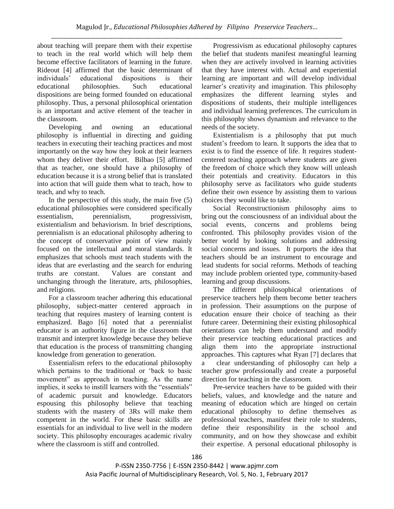about teaching will prepare them with their expertise to teach in the real world which will help them become effective facilitators of learning in the future. Rideout [4] affirmed that the basic determinant of individuals" educational dispositions is their educational philosophies. Such educational dispositions are being formed founded on educational philosophy. Thus, a personal philosophical orientation is an important and active element of the teacher in the classroom.

Developing and owning an educational philosophy is influential in directing and guiding teachers in executing their teaching practices and most importantly on the way how they look at their learners whom they deliver their effort. Bilbao [5] affirmed that as teacher, one should have a philosophy of education because it is a strong belief that is translated into action that will guide them what to teach, how to teach, and why to teach.

In the perspective of this study, the main five (5) educational philosophies were considered specifically essentialism, perennialism, progressivism, existentialism and behaviorism. In brief descriptions, perennialism is an educational philosophy adhering to the concept of conservative point of view mainly focused on the intellectual and moral standards. It emphasizes that schools must teach students with the ideas that are everlasting and the search for enduring truths are constant. Values are constant and unchanging through the literature, arts, philosophies, and religions.

For a classroom teacher adhering this educational philosophy, subject-matter centered approach in teaching that requires mastery of learning content is emphasized. Bago [6] noted that a perennialist educator is an authority figure in the classroom that transmit and interpret knowledge because they believe that education is the process of transmitting changing knowledge from generation to generation.

Essentialism refers to the educational philosophy which pertains to the traditional or "back to basic movement" as approach in teaching. As the name implies, it seeks to instill learners with the "essentials" of academic pursuit and knowledge. Educators espousing this philosophy believe that teaching students with the mastery of 3Rs will make them competent in the world. For these basic skills are essentials for an individual to live well in the modern society. This philosophy encourages academic rivalry where the classroom is stiff and controlled.

Progressivism as educational philosophy captures the belief that students manifest meaningful learning when they are actively involved in learning activities that they have interest with. Actual and experiential learning are important and will develop individual learner"s creativity and imagination. This philosophy emphasizes the different learning styles and dispositions of students, their multiple intelligences and individual learning preferences. The curriculum in this philosophy shows dynamism and relevance to the needs of the society.

Existentialism is a philosophy that put much student"s freedom to learn. It supports the idea that to exist is to find the essence of life. It requires studentcentered teaching approach where students are given the freedom of choice which they know will unleash their potentials and creativity. Educators in this philosophy serve as facilitators who guide students define their own essence by assisting them to various choices they would like to take.

Social Reconstructionism philosophy aims to bring out the consciousness of an individual about the social events, concerns and problems being confronted. This philosophy provides vision of the better world by looking solutions and addressing social concerns and issues. It purports the idea that teachers should be an instrument to encourage and lead students for social reforms. Methods of teaching may include problem oriented type, community-based learning and group discussions.

The different philosophical orientations of preservice teachers help them become better teachers in profession. Their assumptions on the purpose of education ensure their choice of teaching as their future career. Determining their existing philosophical orientations can help them understand and modify their preservice teaching educational practices and align them into the appropriate instructional approaches. This captures what Ryan [7] declares that a clear understanding of philosophy can help a teacher grow professionally and create a purposeful direction for teaching in the classroom.

Pre-service teachers have to be guided with their beliefs, values, and knowledge and the nature and meaning of education which are hinged on certain educational philosophy to define themselves as professional teachers, manifest their role to students, define their responsibility in the school and community, and on how they showcase and exhibit their expertise. A personal educational philosophy is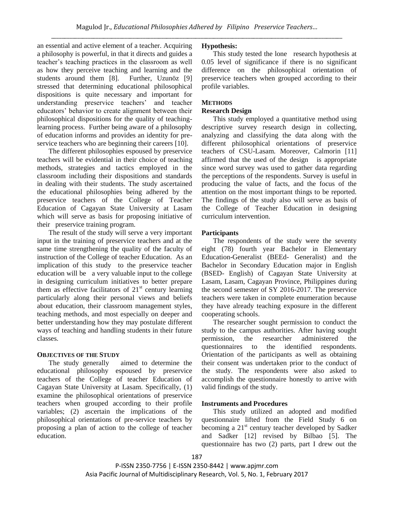an essential and active element of a teacher. Acquiring a philosophy is powerful, in that it directs and guides a teacher"s teaching practices in the classroom as well as how they perceive teaching and learning and the students around them [8]. Further, Uzunöz [9] stressed that determining educational philosophical dispositions is quite necessary and important for understanding preservice teachers" and teacher educators" behavior to create alignment between their philosophical dispositions for the quality of teachinglearning process. Further being aware of a philosophy of education informs and provides an identity for preservice teachers who are beginning their careers [10].

The different philosophies espoused by preservice teachers will be evidential in their choice of teaching methods, strategies and tactics employed in the classroom including their dispositions and standards in dealing with their students. The study ascertained the educational philosophies being adhered by the preservice teachers of the College of Teacher Education of Cagayan State University at Lasam which will serve as basis for proposing initiative of their preservice training program.

The result of the study will serve a very important input in the training of preservice teachers and at the same time strengthening the quality of the faculty of instruction of the College of teacher Education. As an implication of this study to the preservice teacher education will be a very valuable input to the college in designing curriculum initiatives to better prepare them as effective facilitators of  $21<sup>st</sup>$  century learning particularly along their personal views and beliefs about education, their classroom management styles, teaching methods, and most especially on deeper and better understanding how they may postulate different ways of teaching and handling students in their future classes.

## **OBJECTIVES OF THE STUDY**

The study generally aimed to determine the educational philosophy espoused by preservice teachers of the College of teacher Education of Cagayan State University at Lasam. Specifically, (1) examine the philosophical orientations of preservice teachers when grouped according to their profile variables; (2) ascertain the implications of the philosophical orientations of pre-service teachers by proposing a plan of action to the college of teacher education.

# **Hypothesis:**

This study tested the lone research hypothesis at 0.05 level of significance if there is no significant difference on the philosophical orientation of preservice teachers when grouped according to their profile variables.

# **METHODS**

# **Research Design**

This study employed a quantitative method using descriptive survey research design in collecting, analyzing and classifying the data along with the different philosophical orientations of preservice teachers of CSU-Lasam. Moreover, Calmorin [11] affirmed that the used of the design is appropriate since word survey was used to gather data regarding the perceptions of the respondents. Survey is useful in producing the value of facts, and the focus of the attention on the most important things to be reported. The findings of the study also will serve as basis of the College of Teacher Education in designing curriculum intervention.

# **Participants**

The respondents of the study were the seventy eight (78) fourth year Bachelor in Elementary Education-Generalist (BEEd- Generalist) and the Bachelor in Secondary Education major in English (BSED- English) of Cagayan State University at Lasam, Lasam, Cagayan Province, Philippines during the second semester of SY 2016-2017. The preservice teachers were taken in complete enumeration because they have already teaching exposure in the different cooperating schools.

The researcher sought permission to conduct the study to the campus authorities. After having sought permission, the researcher administered the questionnaires to the identified respondents. Orientation of the participants as well as obtaining their consent was undertaken prior to the conduct of the study. The respondents were also asked to accomplish the questionnaire honestly to arrive with valid findings of the study.

# **Instruments and Procedures**

This study utilized an adopted and modified questionnaire lifted from the Field Study 6 on becoming a  $21<sup>st</sup>$  century teacher developed by Sadker and Sadker [12] revised by Bilbao [5]. The questionnaire has two (2) parts, part I drew out the

P-ISSN 2350-7756 | E-ISSN 2350-8442 | www.apjmr.com Asia Pacific Journal of Multidisciplinary Research, Vol. 5, No. 1, February 2017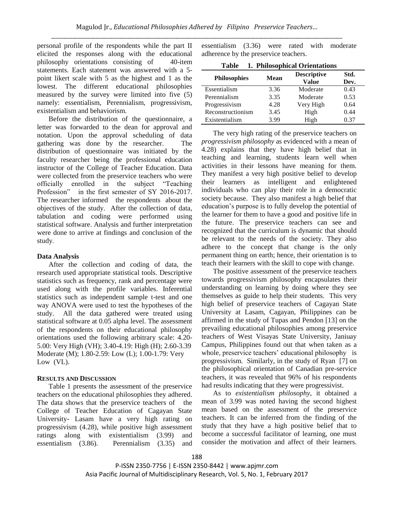personal profile of the respondents while the part II elicited the responses along with the educational philosophy orientations consisting of 40-item statements. Each statement was answered with a 5 point likert scale with 5 as the highest and 1 as the lowest. The different educational philosophies measured by the survey were limited into five (5) namely: essentialism, Perennialism, progressivism, existentialism and behaviorism.

Before the distribution of the questionnaire, a letter was forwarded to the dean for approval and notation. Upon the approval scheduling of data gathering was done by the researcher. The distribution of questionnaire was initiated by the faculty researcher being the professional education instructor of the College of Teacher Education. Data were collected from the preservice teachers who were officially enrolled in the subject "Teaching Profession" in the first semester of SY 2016-2017. The researcher informed the respondents about the objectives of the study. After the collection of data, tabulation and coding were performed using statistical software. Analysis and further interpretation were done to arrive at findings and conclusion of the study.

#### **Data Analysis**

After the collection and coding of data, the research used appropriate statistical tools. Descriptive statistics such as frequency, rank and percentage were used along with the profile variables. Inferential statistics such as independent sample t-test and one way ANOVA were used to test the hypotheses of the study. All the data gathered were treated using statistical software at 0.05 alpha level. The assessment of the respondents on their educational philosophy orientations used the following arbitrary scale: 4.20- 5.00: Very High (VH); 3.40-4.19: High (H); 2.60-3.39 Moderate (M); 1.80-2.59: Low (L); 1.00-1.79: Very Low (VL).

## **RESULTS AND DISCUSSION**

Table 1 presents the assessment of the preservice teachers on the educational philosophies they adhered. The data shows that the preservice teachers of the College of Teacher Education of Cagayan State University- Lasam have a very high rating on progressivism (4.28), while positive high assessment ratings along with existentialism (3.99) and essentialism (3.86). Perennialism (3.35) and

essentialism (3.36) were rated with moderate adherence by the preservice teachers.

| 1. Philosophical Orientations<br>Table |      |                             |              |  |  |  |
|----------------------------------------|------|-----------------------------|--------------|--|--|--|
| <b>Philosophies</b>                    | Mean | <b>Descriptive</b><br>Value | Std.<br>Dev. |  |  |  |
| Essentialism                           | 3.36 | Moderate                    | 0.43         |  |  |  |
| Perennialism                           | 3.35 | Moderate                    | 0.53         |  |  |  |
| Progressivism                          | 4.28 | Very High                   | 0.64         |  |  |  |
| Reconstructionism                      | 3.45 | High                        | 0.44         |  |  |  |
| Existentialism                         | 3.99 | High                        | 0.37         |  |  |  |

The very high rating of the preservice teachers on *progressivism philosophy* as evidenced with a mean of 4.28) explains that they have high belief that in teaching and learning, students learn well when activities in their lessons have meaning for them. They manifest a very high positive belief to develop their learners as intelligent and enlightened individuals who can play their role in a democratic society because. They also manifest a high belief that education"s purpose is to fully develop the potential of the learner for them to have a good and positive life in the future. The preservice teachers can see and recognized that the curriculum is dynamic that should be relevant to the needs of the society. They also adhere to the concept that change is the only permanent thing on earth; hence, their orientation is to teach their learners with the skill to cope with change.

The positive assessment of the preservice teachers towards progressivism philosophy encapsulates their understanding on learning by doing where they see themselves as guide to help their students. This very high belief of preservice teachers of Cagayan State University at Lasam, Cagayan, Philippines can be affirmed in the study of Tupas and Pendon [13] on the prevailing educational philosophies among preservice teachers of West Visayas State University, Janiuay Campus, Philippines found out that when taken as a whole, preservice teachers' educational philosophy is progressivism. Similarly, in the study of Ryan [7] on the philosophical orientation of Canadian pre-service teachers, it was revealed that 96% of his respondents had results indicating that they were progressivist.

As to *existentialism philosophy*, it obtained a mean of 3.99 was noted having the second highest mean based on the assessment of the preservice teachers. It can be inferred from the finding of the study that they have a high positive belief that to become a successful facilitator of learning, one must consider the motivation and affect of their learners.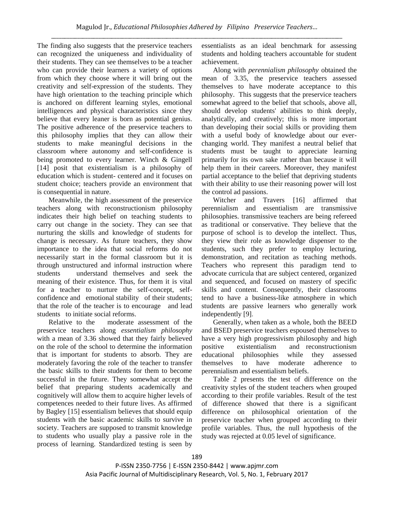The finding also suggests that the preservice teachers can recognized the uniqueness and individuality of their students. They can see themselves to be a teacher who can provide their learners a variety of options from which they choose where it will bring out the creativity and self-expression of the students. They have high orientation to the teaching principle which is anchored on different learning styles, emotional intelligences and physical characteristics since they believe that every leaner is born as potential genius. The positive adherence of the preservice teachers to this philosophy implies that they can allow their students to make meaningful decisions in the classroom where autonomy and self-confidence is being promoted to every learner. Winch & Gingell [14] posit that existentialism is a philosophy of education which is student- centered and it focuses on student choice; teachers provide an environment that is consequential in nature.

Meanwhile, the high assessment of the preservice teachers along with reconstructionism philosophy indicates their high belief on teaching students to carry out change in the society. They can see that nurturing the skills and knowledge of students for change is necessary. As future teachers, they show importance to the idea that social reforms do not necessarily start in the formal classroom but it is through unstructured and informal instruction where students understand themselves and seek the meaning of their existence. Thus, for them it is vital for a teacher to nurture the self-concept, selfconfidence and emotional stability of their students; that the role of the teacher is to encourage and lead students to initiate social reforms.

Relative to the moderate assessment of the preservice teachers along *essentialism philosophy* with a mean of 3.36 showed that they fairly believed on the role of the school to determine the information that is important for students to absorb. They are moderately favoring the role of the teacher to transfer the basic skills to their students for them to become successful in the future. They somewhat accept the belief that preparing students academically and cognitively will allow them to acquire higher levels of competences needed to their future lives. As affirmed by Bagley [15] essentialism believes that should equip students with the basic academic skills to survive in society. Teachers are supposed to transmit knowledge to students who usually play a passive role in the process of learning. Standardized testing is seen by

essentialists as an ideal benchmark for assessing students and holding teachers accountable for student achievement.

Along with *perennialism philosophy* obtained the mean of 3.35, the preservice teachers assessed themselves to have moderate acceptance to this philosophy. This suggests that the preservice teachers somewhat agreed to the belief that schools, above all, should develop students' abilities to think deeply, analytically, and creatively; this is more important than developing their social skills or providing them with a useful body of knowledge about our everchanging world. They manifest a neutral belief that students must be taught to appreciate learning primarily for its own sake rather than because it will help them in their careers. Moreover, they manifest partial acceptance to the belief that depriving students with their ability to use their reasoning power will lost the control ad passions.

Witcher and Travers [16] affirmed that perennialism and essentialism are transmissive philosophies. transmissive teachers are being refereed as traditional or conservative. They believe that the purpose of school is to develop the intellect. Thus, they view their role as knowledge dispenser to the students, such they prefer to employ lecturing, demonstration, and recitation as teaching methods. Teachers who represent this paradigm tend to advocate curricula that are subject centered, organized and sequenced, and focused on mastery of specific skills and content. Consequently, their classrooms tend to have a business-like atmosphere in which students are passive learners who generally work independently [9].

Generally, when taken as a whole, both the BEED and BSED preservice teachers espoused themselves to have a very high progressivism philosophy and high positive existentialism and reconstructionism educational philosophies while they assessed themselves to have moderate adherence to perennialism and essentialism beliefs.

Table 2 presents the test of difference on the creativity styles of the student teachers when grouped according to their profile variables. Result of the test of difference showed that there is a significant difference on philosophical orientation of the preservice teacher when grouped according to their profile variables. Thus, the null hypothesis of the study was rejected at 0.05 level of significance.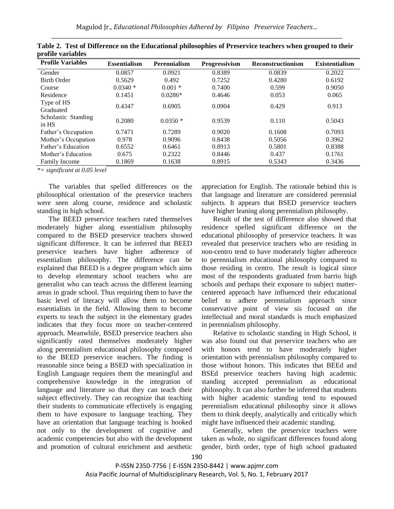| <b>Profile Variables</b>     | <b>Essentialism</b> | <b>Perennialism</b> | Progressivism | <b>Reconstructionism</b> | <b>Existentialism</b> |
|------------------------------|---------------------|---------------------|---------------|--------------------------|-----------------------|
| Gender                       | 0.0857              | 0.0921              | 0.8389        | 0.0839                   | 0.2022                |
| <b>Birth Order</b>           | 0.5629              | 0.492               | 0.7252        | 0.4280                   | 0.6192                |
| Course                       | $0.0340*$           | $0.001*$            | 0.7400        | 0.599                    | 0.9050                |
| Residence                    | 0.1451              | $0.0286*$           | 0.4646        | 0.053                    | 0.065                 |
| Type of HS<br>Graduated      | 0.4347              | 0.6905              | 0.0904        | 0.429                    | 0.913                 |
| Scholastic Standing<br>in HS | 0.2080              | $0.0350*$           | 0.9539        | 0.110                    | 0.5043                |
| Father's Occupation          | 0.7471              | 0.7289              | 0.9020        | 0.1608                   | 0.7093                |
| Mother's Occupation          | 0.978               | 0.9096              | 0.8438        | 0.5056                   | 0.3962                |
| Father's Education           | 0.6552              | 0.6461              | 0.8913        | 0.5801                   | 0.8388                |
| Mother's Education           | 0.675               | 0.2322              | 0.8446        | 0.437                    | 0.1761                |
| <b>Family Income</b>         | 0.1869              | 0.1638              | 0.8915        | 0.5343                   | 0.3436                |

**Table 2. Test of Difference on the Educational philosophies of Preservice teachers when grouped to their profile variables** 

*\*= significant at 0.05 level*

The variables that spelled differences on the philosophical orientation of the preservice teachers were seen along course, residence and scholastic standing in high school.

The BEED preservice teachers rated themselves moderately higher along essentialism philosophy compared to the BSED preservice teachers showed significant difference. It can be inferred that BEED preservice teachers have higher adherence of essentialism philosophy. The difference can be explained that BEED is a degree program which aims to develop elementary school teachers who are generalist who can teach across the different learning areas in grade school. Thus requiring them to have the basic level of literacy will allow them to become essentialists in the field. Allowing them to become experts to teach the subject in the elementary grades indicates that they focus more on teacher-centered approach. Meanwhile, BSED preservice teachers also significantly rated themselves moderately higher along perennialism educational philosophy compared to the BEED preservice teachers. The finding is reasonable since being a BSED with specialization in English Language requires them the meaningful and comprehensive knowledge in the integration of language and literature so that they can teach their subject effectively. They can recognize that teaching their students to communicate effectively is engaging them to have exposure to language teaching. They have an orientation that language teaching is hooked not only to the development of cognitive and academic competencies but also with the development and promotion of cultural enrichment and aesthetic appreciation for English. The rationale behind this is that language and literature are considered perennial subjects. It appears that BSED preservice teachers have higher leaning along perennialism philosophy.

Result of the test of difference also showed that residence spelled significant difference on the educational philosophy of preservice teachers. It was revealed that preservice teachers who are residing in non-centro tend to have moderately higher adherence to perennialism educational philosophy compared to those residing in centro. The result is logical since most of the respondents graduated from barrio high schools and perhaps their exposure to subject mattercentered approach have influenced their educational belief to adhere perennialism approach since conservative point of view sis focused on the intellectual and moral standards is much emphasized in perennialism philosophy.

Relative to scholastic standing in High School, it was also found out that preservice teachers who are with honors tend to have moderately higher orientation with perennialism philosophy compared to those without honors. This indicates that BEEd and BSEd preservice teachers having high academic standing accepted perennialism as educational philosophy. It can also further be inferred that students with higher academic standing tend to espoused perennialism educational philosophy since it allows them to think deeply, analytically and critically which might have influenced their academic standing.

Generally, when the preservice teachers were taken as whole, no significant differences found along gender, birth order, type of high school graduated

P-ISSN 2350-7756 | E-ISSN 2350-8442 | www.apjmr.com Asia Pacific Journal of Multidisciplinary Research, Vol. 5, No. 1, February 2017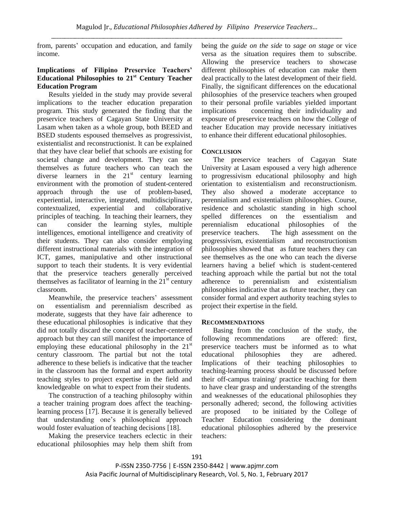from, parents' occupation and education, and family income.

# **Implications of Filipino Preservice Teachers' Educational Philosophies to 21st Century Teacher Education Program**

Results yielded in the study may provide several implications to the teacher education preparation program. This study generated the finding that the preservice teachers of Cagayan State University at Lasam when taken as a whole group, both BEED and BSED students espoused themselves as progressivist, existentialist and reconstructionist. It can be explained that they have clear belief that schools are existing for societal change and development. They can see themselves as future teachers who can teach the diverse learners in the  $21<sup>st</sup>$  century learning environment with the promotion of student-centered approach through the use of problem-based, experiential, interactive, integrated, multidisciplinary, contextualized, experiential and collaborative principles of teaching. In teaching their learners, they can consider the learning styles, multiple intelligences, emotional intelligence and creativity of their students. They can also consider employing different instructional materials with the integration of ICT, games, manipulative and other instructional support to teach their students. It is very evidential that the preservice teachers generally perceived themselves as facilitator of learning in the  $21<sup>st</sup>$  century classroom.

Meanwhile, the preservice teachers' assessment on essentialism and perennialism described as moderate, suggests that they have fair adherence to these educational philosophies is indicative that they did not totally discard the concept of teacher-centered approach but they can still manifest the importance of employing these educational philosophy in the  $21<sup>st</sup>$ century classroom. The partial but not the total adherence to these beliefs is indicative that the teacher in the classroom has the formal and expert authority teaching styles to project expertise in the field and knowledgeable on what to expect from their students.

The construction of a teaching philosophy within a teacher training program does affect the teachinglearning process [17]. Because it is generally believed that understanding one"s philosophical approach would foster evaluation of teaching decisions [18].

Making the preservice teachers eclectic in their educational philosophies may help them shift from being the *guide on the side* to *sage on stage* or vice versa as the situation requires them to subscribe. Allowing the preservice teachers to showcase different philosophies of education can make them deal practically to the latest development of their field. Finally, the significant differences on the educational philosophies of the preservice teachers when grouped to their personal profile variables yielded important implications concerning their individuality and exposure of preservice teachers on how the College of teacher Education may provide necessary initiatives to enhance their different educational philosophies.

## **CONCLUSION**

The preservice teachers of Cagayan State University at Lasam espoused a very high adherence to progressivism educational philosophy and high orientation to existentialism and reconstructionism. They also showed a moderate acceptance to perennialism and existentialism philosophies. Course, residence and scholastic standing in high school spelled differences on the essentialism and perennialism educational philosophies of the preservice teachers. The high assessment on the progressivism, existentialism and reconstructionism philosophies showed that as future teachers they can see themselves as the one who can teach the diverse learners having a belief which is student-centered teaching approach while the partial but not the total adherence to perennialism and existentialism philosophies indicative that as future teacher, they can consider formal and expert authority teaching styles to project their expertise in the field.

## **RECOMMENDATIONS**

Basing from the conclusion of the study, the following recommendations are offered: first, preservice teachers must be informed as to what educational philosophies they are adhered. Implications of their teaching philosophies to teaching-learning process should be discussed before their off-campus training/ practice teaching for them to have clear grasp and understanding of the strengths and weaknesses of the educational philosophies they personally adhered; second, the following activities are proposed to be initiated by the College of Teacher Education considering the dominant educational philosophies adhered by the preservice teachers: